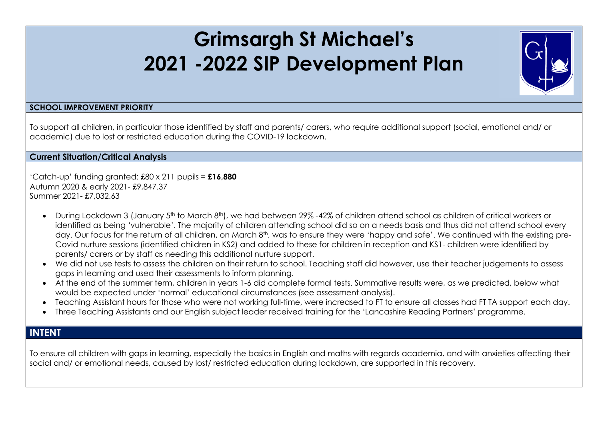## **Grimsargh St Michael's 2021 -2022 SIP Development Plan**



## **SCHOOL IMPROVEMENT PRIORITY**

To support all children, in particular those identified by staff and parents/ carers, who require additional support (social, emotional and/ or academic) due to lost or restricted education during the COVID-19 lockdown.

**Current Situation/Critical Analysis**

'Catch-up' funding granted: £80 x 211 pupils = **£16,880** Autumn 2020 & early 2021- £9,847.37 Summer 2021- £7,032.63

- During Lockdown 3 (January 5th to March 8th), we had between 29% -42% of children attend school as children of critical workers or identified as being 'vulnerable'. The majority of children attending school did so on a needs basis and thus did not attend school every day. Our focus for the return of all children, on March 8<sup>th</sup>, was to ensure they were 'happy and safe'. We continued with the existing pre-Covid nurture sessions (identified children in KS2) and added to these for children in reception and KS1- children were identified by parents/ carers or by staff as needing this additional nurture support.
- We did not use tests to assess the children on their return to school. Teaching staff did however, use their teacher judgements to assess gaps in learning and used their assessments to inform planning.
- At the end of the summer term, children in years 1-6 did complete formal tests. Summative results were, as we predicted, below what would be expected under 'normal' educational circumstances (see assessment analysis).
- Teaching Assistant hours for those who were not working full-time, were increased to FT to ensure all classes had FT TA support each day.
- Three Teaching Assistants and our English subject leader received training for the 'Lancashire Reading Partners' programme.

## **INTENT**

To ensure all children with gaps in learning, especially the basics in English and maths with regards academia, and with anxieties affecting their social and/ or emotional needs, caused by lost/ restricted education during lockdown, are supported in this recovery.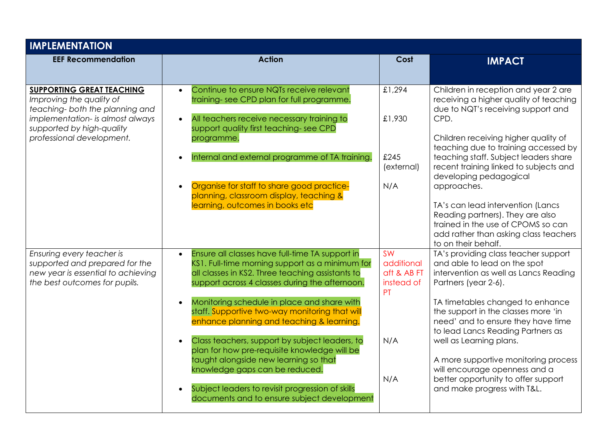| <b>IMPLEMENTATION</b>                                                                                                                                                                         |                                                                                                                                                                                                                                                                                                                                                                                                                                                                                                                                                                                                                                                     |                                                                          |                                                                                                                                                                                                                                                                                                                                                                                                                                                                                                                         |  |
|-----------------------------------------------------------------------------------------------------------------------------------------------------------------------------------------------|-----------------------------------------------------------------------------------------------------------------------------------------------------------------------------------------------------------------------------------------------------------------------------------------------------------------------------------------------------------------------------------------------------------------------------------------------------------------------------------------------------------------------------------------------------------------------------------------------------------------------------------------------------|--------------------------------------------------------------------------|-------------------------------------------------------------------------------------------------------------------------------------------------------------------------------------------------------------------------------------------------------------------------------------------------------------------------------------------------------------------------------------------------------------------------------------------------------------------------------------------------------------------------|--|
| <b>EEF Recommendation</b>                                                                                                                                                                     | <b>Action</b>                                                                                                                                                                                                                                                                                                                                                                                                                                                                                                                                                                                                                                       | Cost                                                                     | <b>IMPACT</b>                                                                                                                                                                                                                                                                                                                                                                                                                                                                                                           |  |
| <b>SUPPORTING GREAT TEACHING</b><br>Improving the quality of<br>teaching- both the planning and<br>implementation- is almost always<br>supported by high-quality<br>professional development. | Continue to ensure NQTs receive relevant<br>training-see CPD plan for full programme.<br>All teachers receive necessary training to<br>support quality first teaching-see CPD<br>programme.<br>Internal and external programme of TA training.<br>Organise for staff to share good practice-<br>planning, classroom display, teaching &<br>learning, outcomes in books etc                                                                                                                                                                                                                                                                          | £1,294<br>£1,930<br>£245<br>(external)<br>N/A                            | Children in reception and year 2 are<br>receiving a higher quality of teaching<br>due to NQT's receiving support and<br>CPD.<br>Children receiving higher quality of<br>teaching due to training accessed by<br>teaching staff. Subject leaders share<br>recent training linked to subjects and<br>developing pedagogical<br>approaches.<br>TA's can lead intervention (Lancs<br>Reading partners). They are also<br>trained in the use of CPOMS so can<br>add rather than asking class teachers<br>to on their behalf. |  |
| Ensuring every teacher is<br>supported and prepared for the<br>new year is essential to achieving<br>the best outcomes for pupils.                                                            | Ensure all classes have full-time TA support in<br>$\bullet$<br>KS1. Full-time morning support as a minimum for<br>all classes in KS2. Three teaching assistants to<br>support across 4 classes during the afternoon.<br>Monitoring schedule in place and share with<br>staff. Supportive two-way monitoring that will<br>enhance planning and teaching & learning.<br>Class teachers, support by subject leaders, to<br>plan for how pre-requisite knowledge will be<br>taught alongside new learning so that<br>knowledge gaps can be reduced.<br>Subject leaders to revisit progression of skills<br>documents and to ensure subject development | <b>SW</b><br>additional<br>aft & AB FT<br>instead of<br>PT<br>N/A<br>N/A | TA's providing class teacher support<br>and able to lead on the spot<br>intervention as well as Lancs Reading<br>Partners (year 2-6).<br>TA timetables changed to enhance<br>the support in the classes more 'in<br>need' and to ensure they have time<br>to lead Lancs Reading Partners as<br>well as Learning plans.<br>A more supportive monitoring process<br>will encourage openness and a<br>better opportunity to offer support<br>and make progress with T&L.                                                   |  |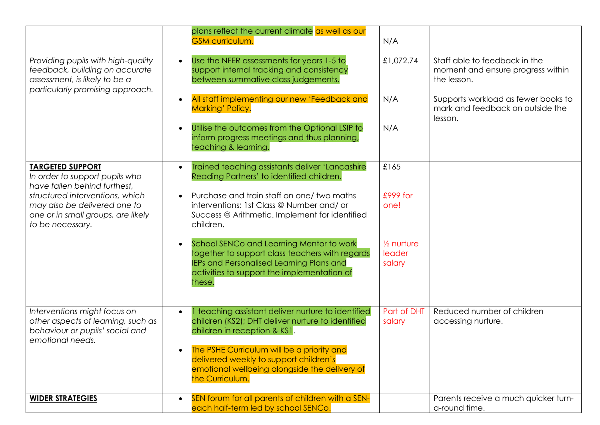|                                                                                                                                                                                                                        | plans reflect the current climate as well as our<br><b>GSM curriculum.</b>                                                                                                                                    | N/A                                       |                                                                                    |
|------------------------------------------------------------------------------------------------------------------------------------------------------------------------------------------------------------------------|---------------------------------------------------------------------------------------------------------------------------------------------------------------------------------------------------------------|-------------------------------------------|------------------------------------------------------------------------------------|
| Providing pupils with high-quality<br>feedback, building on accurate<br>assessment, is likely to be a<br>particularly promising approach.                                                                              | Use the NFER assessments for years 1-5 to<br>$\bullet$<br>support internal tracking and consistency<br>between summative class judgements.                                                                    | £1,072.74                                 | Staff able to feedback in the<br>moment and ensure progress within<br>the lesson.  |
|                                                                                                                                                                                                                        | All staff implementing our new 'Feedback and<br>$\bullet$<br>Marking' Policy.                                                                                                                                 | N/A                                       | Supports workload as fewer books to<br>mark and feedback on outside the<br>lesson. |
|                                                                                                                                                                                                                        | Utilise the outcomes from the Optional LSIP to<br>$\bullet$<br>inform progress meetings and thus planning,<br>teaching & learning.                                                                            | N/A                                       |                                                                                    |
| <b>TARGETED SUPPORT</b><br>In order to support pupils who<br>have fallen behind furthest.<br>structured interventions, which<br>may also be delivered one to<br>one or in small groups, are likely<br>to be necessary. | Trained teaching assistants deliver 'Lancashire'<br>$\bullet$<br>Reading Partners' to identified children.                                                                                                    | £165                                      |                                                                                    |
|                                                                                                                                                                                                                        | Purchase and train staff on one/ two maths<br>interventions: 1st Class @ Number and/ or<br>Success @ Arithmetic. Implement for identified<br>children.                                                        | £999 for<br>one!                          |                                                                                    |
|                                                                                                                                                                                                                        | School SENCo and Learning Mentor to work<br>$\bullet$<br>together to support class teachers with regards<br>IEPs and Personalised Learning Plans and<br>activities to support the implementation of<br>these. | $\frac{1}{2}$ nurture<br>leader<br>salary |                                                                                    |
| Interventions might focus on<br>other aspects of learning, such as<br>behaviour or pupils' social and<br>emotional needs.                                                                                              | 1 teaching assistant deliver nurture to identified<br>$\bullet$<br>children (KS2); DHT deliver nurture to identified<br>children in reception & KS1.                                                          | Part of DHT<br>salary                     | Reduced number of children<br>accessing nurture.                                   |
|                                                                                                                                                                                                                        | The PSHE Curriculum will be a priority and<br>delivered weekly to support children's<br>emotional wellbeing alongside the delivery of<br>the Curriculum.                                                      |                                           |                                                                                    |
| <b>WIDER STRATEGIES</b>                                                                                                                                                                                                | SEN forum for all parents of children with a SEN-<br>each half-term led by school SENCo.                                                                                                                      |                                           | Parents receive a much quicker turn-<br>a-round time.                              |